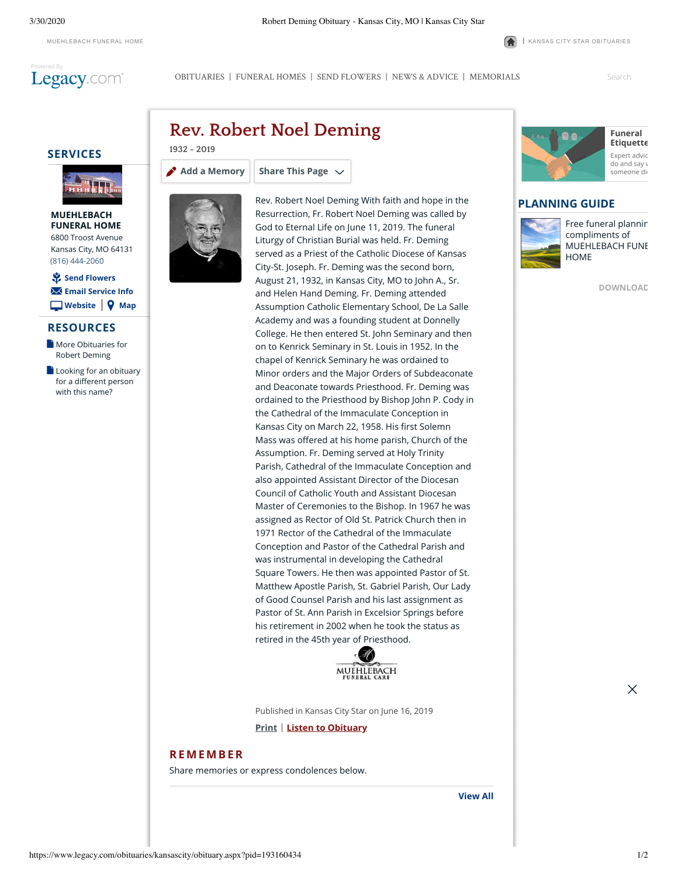

3/30/2020 Robert Deming Obituary - Kansas City, MO | Kansas City Star

[MUEHLEBACH](http://muehlebachchapel.com/) FUNERAL HOME **|** KANSAS CITY STAR [OBITUARIES](https://www.legacy.com/obituaries/kansascity/)

[OBITUARIES](http://www.legacy.com/obituaries/kansascity) | [FUNERAL HOMES](https://www.legacy.com/funeral-homes/directory/?affiliateId=1164) | [SEND FLOWERS](https://sympathy.legacy.com/funeral-flowers/Robert-Noel-Deming-funeral-flowers/p193160434/?affiliateid=1164) | [NEWS & ADVICE](http://www.legacy.com/news) | [MEMORIALS](http://www.legacy.com/memorial-sites/2018/)

Search

## **SERVICES**



#### **MUEHLEBACH [FUNERAL HOME](https://www.legacy.com/funeral-homes/MUEHLEBACH-FUNERAL-HOME/fh-2114/?affiliateId=1164)** 6800 Troost Avenue Kansas City, MO 64131 (816) 444-2060

| **[Website](http://muehlebachchapel.com/) [Map](http://maps.google.com/maps?q=6800+Troost+Avenue+Kansas+City+MO+64131)** ⚘ **[Send Flowers](javascript:void(0))** ✉ **[Email Service Info](https://www.legacy.com/obituaries/kansascity/obituary-email.aspx?n=robert-noel-deming&pid=193160434&emailtype=ServiceDateShare)**

#### **RESOURCES**

- **[More Obituaries for](https://www.legacy.com/obituaries/name/robert-deming-obituary?pid=193160434&affiliateid=1164)** Robert Deming
- $\Box$  [Looking for an obituary](https://www.legacy.com/obituaries/name/by/deming/robert) for a different person with this name?



**[Add a Memory](https://www.legacy.com/guestbooks/kansascity/robert-noel-deming-condolences/193160434?cid=full)**

**Rev. Robert Noel Deming**

**Share This Page**

**1932 - 2019**

Rev. Robert Noel Deming With faith and hope in the Resurrection, Fr. Robert Noel Deming was called by God to Eternal Life on June 11, 2019. The funeral Liturgy of Christian Burial was held. Fr. Deming served as a Priest of the Catholic Diocese of Kansas City-St. Joseph. Fr. Deming was the second born, August 21, 1932, in Kansas City, MO to John A., Sr. and Helen Hand Deming. Fr. Deming attended Assumption Catholic Elementary School, De La Salle Academy and was a founding student at Donnelly College. He then entered St. John Seminary and then on to Kenrick Seminary in St. Louis in 1952. In the chapel of Kenrick Seminary he was ordained to Minor orders and the Major Orders of Subdeaconate and Deaconate towards Priesthood. Fr. Deming was ordained to the Priesthood by Bishop John P. Cody in the Cathedral of the Immaculate Conception in Kansas City on March 22, 1958. His first Solemn Mass was offered at his home parish, Church of the Assumption. Fr. Deming served at Holy Trinity Parish, Cathedral of the Immaculate Conception and also appointed Assistant Director of the Diocesan Council of Catholic Youth and Assistant Diocesan Master of Ceremonies to the Bishop. In 1967 he was assigned as Rector of Old St. Patrick Church then in 1971 Rector of the Cathedral of the Immaculate Conception and Pastor of the Cathedral Parish and was instrumental in developing the Cathedral Square Towers. He then was appointed Pastor of St. Matthew Apostle Parish, St. Gabriel Parish, Our Lady of Good Counsel Parish and his last assignment as Pastor of St. Ann Parish in Excelsior Springs before his retirement in 2002 when he took the status as retired in the 45th year of Priesthood.



Published in Kansas City Star on June 16, 2019

**Print Listen to Obituary**

### **[REMEMBER](https://www.legacy.com/guestbooks/kansascity/robert-noel-deming-condolences/193160434?cid=full)**

Share memories or express condolences below.





# **PLANNING GUIDE**



[Free funeral plannin](http://caringproviders.com/) compliments of MUEHLEBACH FUNE HOME

**[DOWNLOAD](http://caringproviders.com/)**

 $\times$